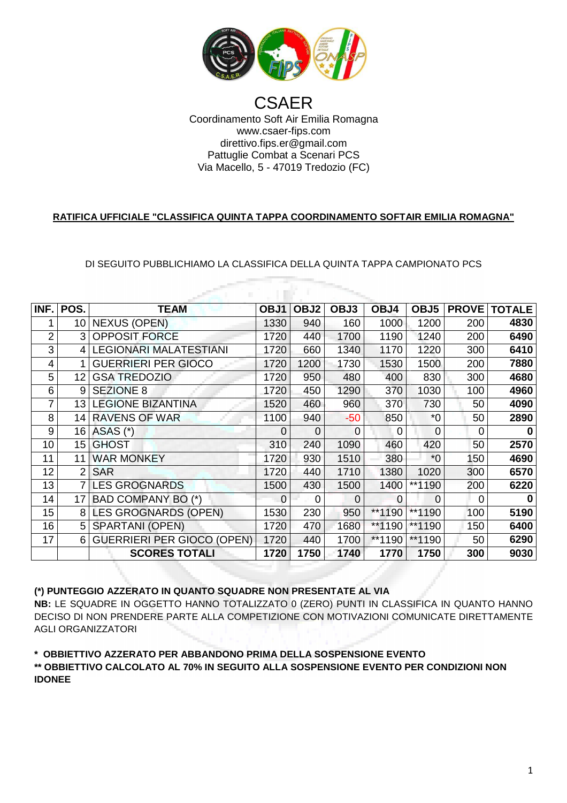

# Coordinamento Soft Air Emilia Romagna Via Macello Macello, 5 - 47019 Tredozio (FC) **CSAER** www.csaer-fips.com direttivo.fips.er@gmail.com Pattuglie Combat a Scenari PCS

### **RATIFICA UFFICIALE "CLASSIFICA QUINTA TAPPA COORDINAMENTO SOFTAIR EMILIA ROMAGNA"**

## DI SEGUITO PUBBLICHIAMO LA CLASSIFICA DELLA QUINTA TAPPA CAMPIONATO PCS A

| INF. | POS. | <b>TEAM</b>                       | OBJ1     | OBJ2     | OBJ3  | OBJ4     | OBJ <sub>5</sub> | <b>PROVE</b> | <b>TOTALE</b> |
|------|------|-----------------------------------|----------|----------|-------|----------|------------------|--------------|---------------|
|      | 10   | <b>NEXUS (OPEN)</b>               | 1330     | 940      | 160   | 1000     | 1200             | 200          | 4830          |
| 2    | 3    | <b>OPPOSIT FORCE</b>              | 1720     | 440      | 1700  | 1190     | 1240             | 200          | 6490          |
| 3    | 4    | <b>LEGIONARI MALATESTIANI</b>     | 1720     | 660      | 1340  | 1170     | 1220             | 300          | 6410          |
| 4    |      | <b>GUERRIERI PER GIOCO</b>        | 1720     | 1200     | 1730  | 1530     | 1500             | 200          | 7880          |
| 5    | 12   | <b>GSA TREDOZIO</b>               | 1720     | 950      | 480   | 400      | 830              | 300          | 4680          |
| 6    | 9    | <b>SEZIONE 8</b>                  | 1720     | 450      | 1290  | 370      | 1030             | 100          | 4960          |
| 7    | 13   | <b>LEGIONE BIZANTINA</b>          | 1520     | 460      | 960   | 370      | 730              | 50           | 4090          |
| 8    | 14   | <b>RAVENS OF WAR</b>              | 1100     | 940      | $-50$ | 850      | $*0$             | 50           | 2890          |
| 9    | 16   | ASAS (*)                          | $\Omega$ | $\Omega$ | 0     | 0        | 0                | $\Omega$     |               |
| 10   | 15   | <b>GHOST</b>                      | 310      | 240      | 1090  | 460      | 420              | 50           | 2570          |
| 11   | 11   | <b>WAR MONKEY</b>                 | 1720     | 930      | 1510  | 380      | $*0$             | 150          | 4690          |
| 12   | 2    | <b>SAR</b>                        | 1720     | 440      | 1710  | 1380     | 1020             | 300          | 6570          |
| 13   |      | <b>LES GROGNARDS</b>              | 1500     | 430      | 1500  | 1400     | **1190           | 200          | 6220          |
| 14   | 17   | BAD COMPANY BO (*)                | $\Omega$ | 0        | 0     | $\Omega$ | 0                | $\Omega$     | 0             |
| 15   | 8    | LES GROGNARDS (OPEN)              | 1530     | 230      | 950   | **1190   | **1190           | 100          | 5190          |
| 16   | 5    | <b>SPARTANI (OPEN)</b>            | 1720     | 470      | 1680  | **1190   | **1190           | 150          | 6400          |
| 17   | 6    | <b>GUERRIERI PER GIOCO (OPEN)</b> | 1720     | 440      | 1700  | **1190   | **1190           | 50           | 6290          |
|      |      | <b>SCORES TOTALI</b>              | 1720     | 1750     | 1740  | 1770     | 1750             | 300          | 9030          |

#### **(\*) PUNTEGGIO AZZERATO IN QUANTO SQUADRE NON PRESENTATE AL VIA**

**NB:** LE SQUADRE IN OGGETTO HANNO TOTALIZZATO 0 (ZERO) PUNTI IN CLASSIFICA IN QUANTO HANNO DECISO DI NON PRENDERE PARTE ALLA COMPETIZIONE CON MOTIVAZIONI COMUNICATE DIRETTAMENTE AGLI ORGANIZZATORI

**\* OBBIETTIVO AZZERATO PER ABBANDONO ABBANDONO PRIMA DELLA SOSPENSIONE EVENTO ENTO**

# **\*\* OBBIETTIVO CALCOLATO AL 70% IN SEGUITO ALLA SOSPENSIONE EVENTO PER CONDIZIONI NON IDONEE**